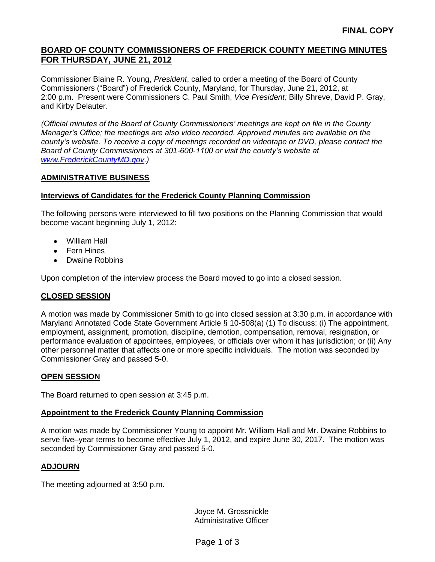## **BOARD OF COUNTY COMMISSIONERS OF FREDERICK COUNTY MEETING MINUTES FOR THURSDAY, JUNE 21, 2012**

Commissioner Blaine R. Young, *President*, called to order a meeting of the Board of County Commissioners ("Board") of Frederick County, Maryland, for Thursday, June 21, 2012, at 2:00 p.m. Present were Commissioners C. Paul Smith, *Vice President;* Billy Shreve, David P. Gray, and Kirby Delauter.

*(Official minutes of the Board of County Commissioners' meetings are kept on file in the County Manager's Office; the meetings are also video recorded. Approved minutes are available on the county's website. To receive a copy of meetings recorded on videotape or DVD, please contact the Board of County Commissioners at 301-600-1100 or visit the county's website at [www.FrederickCountyMD.gov.](http://www.frederickcountymd.gov/))*

#### **ADMINISTRATIVE BUSINESS**

#### **Interviews of Candidates for the Frederick County Planning Commission**

The following persons were interviewed to fill two positions on the Planning Commission that would become vacant beginning July 1, 2012:

- William Hall
- Fern Hines
- Dwaine Robbins

Upon completion of the interview process the Board moved to go into a closed session.

### **CLOSED SESSION**

A motion was made by Commissioner Smith to go into closed session at 3:30 p.m. in accordance with Maryland Annotated Code State Government Article § 10-508(a) (1) To discuss: (i) The appointment, employment, assignment, promotion, discipline, demotion, compensation, removal, resignation, or performance evaluation of appointees, employees, or officials over whom it has jurisdiction; or (ii) Any other personnel matter that affects one or more specific individuals. The motion was seconded by Commissioner Gray and passed 5-0.

#### **OPEN SESSION**

The Board returned to open session at 3:45 p.m.

### **Appointment to the Frederick County Planning Commission**

A motion was made by Commissioner Young to appoint Mr. William Hall and Mr. Dwaine Robbins to serve five–year terms to become effective July 1, 2012, and expire June 30, 2017. The motion was seconded by Commissioner Gray and passed 5-0.

#### **ADJOURN**

The meeting adjourned at 3:50 p.m.

Joyce M. Grossnickle Administrative Officer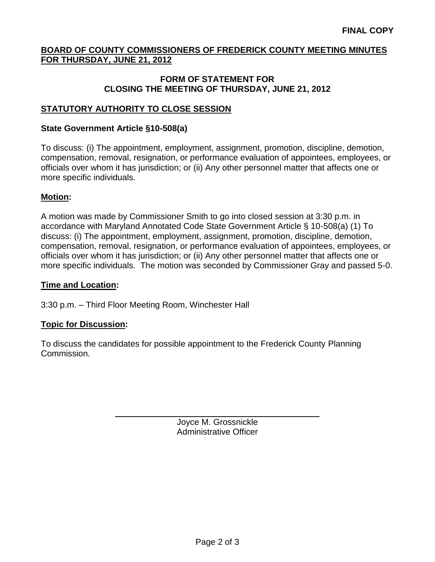# **BOARD OF COUNTY COMMISSIONERS OF FREDERICK COUNTY MEETING MINUTES FOR THURSDAY, JUNE 21, 2012**

## **FORM OF STATEMENT FOR CLOSING THE MEETING OF THURSDAY, JUNE 21, 2012**

# **STATUTORY AUTHORITY TO CLOSE SESSION**

### **State Government Article §10-508(a)**

To discuss: (i) The appointment, employment, assignment, promotion, discipline, demotion, compensation, removal, resignation, or performance evaluation of appointees, employees, or officials over whom it has jurisdiction; or (ii) Any other personnel matter that affects one or more specific individuals.

## **Motion:**

A motion was made by Commissioner Smith to go into closed session at 3:30 p.m. in accordance with Maryland Annotated Code State Government Article § 10-508(a) (1) To discuss: (i) The appointment, employment, assignment, promotion, discipline, demotion, compensation, removal, resignation, or performance evaluation of appointees, employees, or officials over whom it has jurisdiction; or (ii) Any other personnel matter that affects one or more specific individuals. The motion was seconded by Commissioner Gray and passed 5-0.

### **Time and Location:**

3:30 p.m. – Third Floor Meeting Room, Winchester Hall

### **Topic for Discussion:**

To discuss the candidates for possible appointment to the Frederick County Planning Commission.

> Joyce M. Grossnickle Administrative Officer